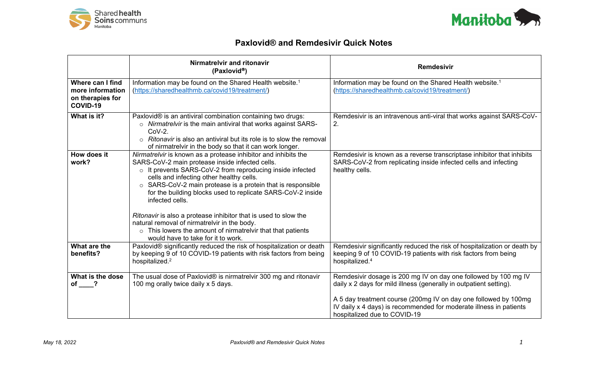



## **Paxlovid® and Remdesivir Quick Notes**

|                                                                      | Nirmatrelvir and ritonavir<br>(Paxlovid <sup>®</sup> )                                                                                                                                                                                                                                                                                                                                                                                                                                                                                                                                                                   | <b>Remdesivir</b>                                                                                                                                                                                                                                                                                              |
|----------------------------------------------------------------------|--------------------------------------------------------------------------------------------------------------------------------------------------------------------------------------------------------------------------------------------------------------------------------------------------------------------------------------------------------------------------------------------------------------------------------------------------------------------------------------------------------------------------------------------------------------------------------------------------------------------------|----------------------------------------------------------------------------------------------------------------------------------------------------------------------------------------------------------------------------------------------------------------------------------------------------------------|
| Where can I find<br>more information<br>on therapies for<br>COVID-19 | Information may be found on the Shared Health website. <sup>1</sup><br>(https://sharedhealthmb.ca/covid19/treatment/)                                                                                                                                                                                                                                                                                                                                                                                                                                                                                                    | Information may be found on the Shared Health website. <sup>1</sup><br>(https://sharedhealthmb.ca/covid19/treatment/)                                                                                                                                                                                          |
| What is it?                                                          | Paxlovid® is an antiviral combination containing two drugs:<br>o Nirmatrelvir is the main antiviral that works against SARS-<br>$CoV-2.$<br>Ritonavir is also an antiviral but its role is to slow the removal<br>$\Omega$<br>of nirmatrelvir in the body so that it can work longer.                                                                                                                                                                                                                                                                                                                                    | Remdesivir is an intravenous anti-viral that works against SARS-CoV-<br>2.                                                                                                                                                                                                                                     |
| How does it<br>work?                                                 | Nirmatrelvir is known as a protease inhibitor and inhibits the<br>SARS-CoV-2 main protease inside infected cells.<br>$\circ$ It prevents SARS-CoV-2 from reproducing inside infected<br>cells and infecting other healthy cells.<br>SARS-CoV-2 main protease is a protein that is responsible<br>$\circ$<br>for the building blocks used to replicate SARS-CoV-2 inside<br>infected cells.<br>Ritonavir is also a protease inhibitor that is used to slow the<br>natural removal of nirmatrelvir in the body.<br>$\circ$ This lowers the amount of nirmatrelvir that that patients<br>would have to take for it to work. | Remdesivir is known as a reverse transcriptase inhibitor that inhibits<br>SARS-CoV-2 from replicating inside infected cells and infecting<br>healthy cells.                                                                                                                                                    |
| What are the<br>benefits?                                            | Paxlovid <sup>®</sup> significantly reduced the risk of hospitalization or death<br>by keeping 9 of 10 COVID-19 patients with risk factors from being<br>hospitalized. <sup>2</sup>                                                                                                                                                                                                                                                                                                                                                                                                                                      | Remdesivir significantly reduced the risk of hospitalization or death by<br>keeping 9 of 10 COVID-19 patients with risk factors from being<br>hospitalized. <sup>4</sup>                                                                                                                                       |
| What is the dose<br>of ?                                             | The usual dose of Paxlovid <sup>®</sup> is nirmatrelvir 300 mg and ritonavir<br>100 mg orally twice daily x 5 days.                                                                                                                                                                                                                                                                                                                                                                                                                                                                                                      | Remdesivir dosage is 200 mg IV on day one followed by 100 mg IV<br>daily x 2 days for mild illness (generally in outpatient setting).<br>A 5 day treatment course (200mg IV on day one followed by 100mg<br>IV daily x 4 days) is recommended for moderate illness in patients<br>hospitalized due to COVID-19 |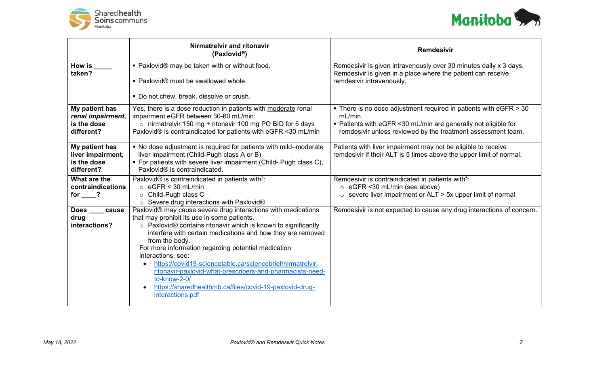



|                                                                  | Nirmatrelvir and ritonavir<br>(Paxlovid®)                                                                                                                                                                                                                                                                                                                                                                                                                                                                                                                              | <b>Remdesivir</b>                                                                                                                                                                                                             |
|------------------------------------------------------------------|------------------------------------------------------------------------------------------------------------------------------------------------------------------------------------------------------------------------------------------------------------------------------------------------------------------------------------------------------------------------------------------------------------------------------------------------------------------------------------------------------------------------------------------------------------------------|-------------------------------------------------------------------------------------------------------------------------------------------------------------------------------------------------------------------------------|
| How is $\_\_$<br>taken?                                          | ■ Paxlovid® may be taken with or without food.<br>• Paxlovid® must be swallowed whole.<br>• Do not chew, break, dissolve or crush.                                                                                                                                                                                                                                                                                                                                                                                                                                     | Remdesivir is given intravenously over 30 minutes daily x 3 days.<br>Remdesivir is given in a place where the patient can receive<br>remdesivir intravenously.                                                                |
| My patient has<br>renal impairment,<br>is the dose<br>different? | Yes, there is a dose reduction in patients with moderate renal<br>impairment eGFR between 30-60 mL/min:<br>$\circ$ nirmatrelvir 150 mg + ritonavir 100 mg PO BID for 5 days<br>Paxlovid <sup>®</sup> is contraindicated for patients with eGFR <30 mL/min                                                                                                                                                                                                                                                                                                              | $\blacksquare$ There is no dose adjustment required in patients with eGFR $>$ 30<br>mL/min.<br>• Patients with eGFR <30 mL/min are generally not eligible for<br>remdesivir unless reviewed by the treatment assessment team. |
| My patient has<br>liver impairment,<br>is the dose<br>different? | • No dose adjustment is required for patients with mild-moderate<br>liver impairment (Child-Pugh class A or B)<br>• For patients with severe liver impairment (Child- Pugh class C),<br>Paxlovid <sup>®</sup> is contraindicated.                                                                                                                                                                                                                                                                                                                                      | Patients with liver impairment may not be eligible to receive<br>remdesivir if their ALT is 5 times above the upper limit of normal.                                                                                          |
| What are the<br>contraindications<br>for $\_\_?$                 | Paxlovid® is contraindicated in patients with <sup>2</sup> :<br>$\circ$ eGFR < 30 mL/min<br>○ Child-Pugh class C<br>$\circ$ Severe drug interactions with Paxlovid®                                                                                                                                                                                                                                                                                                                                                                                                    | Remdesivir is contraindicated in patients with <sup>5</sup> :<br>$\circ$ eGFR <30 mL/min (see above)<br>severe liver impairment or ALT > 5x upper limit of normal<br>$\circ$                                                  |
| <b>Does</b><br>cause<br>drug<br>interactions?                    | Paxlovid® may cause severe drug interactions with medications<br>that may prohibit its use in some patients.<br>o Paxlovid® contains ritonavir which is known to significantly<br>interfere with certain medications and how they are removed<br>from the body.<br>For more information regarding potential medication<br>interactions, see:<br>https://covid19-sciencetable.ca/sciencebrief/nirmatrelvir-<br>ritonavir-paxlovid-what-prescribers-and-pharmacists-need-<br>to-know-2-0/<br>https://sharedhealthmb.ca/files/covid-19-paxlovid-drug-<br>interactions.pdf | Remdesivir is not expected to cause any drug interactions of concern.                                                                                                                                                         |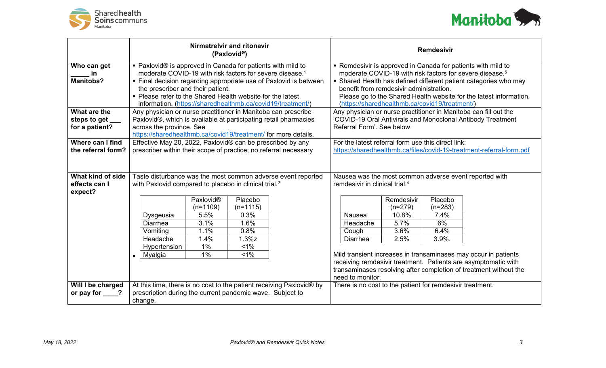



|                          | Nirmatrelvir and ritonavir<br>(Paxlovid <sup>®</sup> )                                                                            |                                                                      |                       |                                                                                       | <b>Remdesivir</b>                                                    |                                                                                                               |            |           |                                                                                                                                   |
|--------------------------|-----------------------------------------------------------------------------------------------------------------------------------|----------------------------------------------------------------------|-----------------------|---------------------------------------------------------------------------------------|----------------------------------------------------------------------|---------------------------------------------------------------------------------------------------------------|------------|-----------|-----------------------------------------------------------------------------------------------------------------------------------|
| Who can get              | • Paxlovid® is approved in Canada for patients with mild to                                                                       |                                                                      |                       |                                                                                       | • Remdesivir is approved in Canada for patients with mild to         |                                                                                                               |            |           |                                                                                                                                   |
| in                       |                                                                                                                                   | moderate COVID-19 with risk factors for severe disease. <sup>1</sup> |                       |                                                                                       |                                                                      | moderate COVID-19 with risk factors for severe disease. <sup>5</sup>                                          |            |           |                                                                                                                                   |
| <b>Manitoba?</b>         |                                                                                                                                   |                                                                      |                       |                                                                                       | • Final decision regarding appropriate use of Paxlovid is between    | • Shared Health has defined different patient categories who may                                              |            |           |                                                                                                                                   |
|                          |                                                                                                                                   | the prescriber and their patient.                                    |                       |                                                                                       |                                                                      | benefit from remdesivir administration.<br>Please go to the Shared Health website for the latest information. |            |           |                                                                                                                                   |
|                          | • Please refer to the Shared Health website for the latest<br>information. (https://sharedhealthmb.ca/covid19/treatment/)         |                                                                      |                       | (https://sharedhealthmb.ca/covid19/treatment/)                                        |                                                                      |                                                                                                               |            |           |                                                                                                                                   |
| What are the             |                                                                                                                                   |                                                                      |                       |                                                                                       |                                                                      | Any physician or nurse practitioner in Manitoba can fill out the                                              |            |           |                                                                                                                                   |
| steps to get             | Any physician or nurse practitioner in Manitoba can prescribe<br>Paxlovid®, which is available at participating retail pharmacies |                                                                      |                       |                                                                                       | 'COVID-19 Oral Antivirals and Monoclonal Antibody Treatment          |                                                                                                               |            |           |                                                                                                                                   |
| for a patient?           |                                                                                                                                   | across the province. See                                             |                       |                                                                                       |                                                                      | Referral Form'. See below.                                                                                    |            |           |                                                                                                                                   |
|                          |                                                                                                                                   | https://sharedhealthmb.ca/covid19/treatment/ for more details.       |                       |                                                                                       |                                                                      |                                                                                                               |            |           |                                                                                                                                   |
| Where can I find         | Effective May 20, 2022, Paxlovid® can be prescribed by any                                                                        |                                                                      |                       |                                                                                       |                                                                      | For the latest referral form use this direct link:                                                            |            |           |                                                                                                                                   |
| the referral form?       | prescriber within their scope of practice; no referral necessary                                                                  |                                                                      |                       | https://sharedhealthmb.ca/files/covid-19-treatment-referral-form.pdf                  |                                                                      |                                                                                                               |            |           |                                                                                                                                   |
|                          |                                                                                                                                   |                                                                      |                       |                                                                                       |                                                                      |                                                                                                               |            |           |                                                                                                                                   |
|                          |                                                                                                                                   |                                                                      |                       |                                                                                       |                                                                      |                                                                                                               |            |           |                                                                                                                                   |
| What kind of side        | Taste disturbance was the most common adverse event reported                                                                      |                                                                      |                       |                                                                                       | Nausea was the most common adverse event reported with               |                                                                                                               |            |           |                                                                                                                                   |
| effects can I<br>expect? | with Paxlovid compared to placebo in clinical trial. <sup>2</sup>                                                                 |                                                                      |                       |                                                                                       | remdesivir in clinical trial. <sup>4</sup>                           |                                                                                                               |            |           |                                                                                                                                   |
|                          |                                                                                                                                   |                                                                      | Paxlovid <sup>®</sup> | Placebo                                                                               |                                                                      |                                                                                                               | Remdesivir | Placebo   |                                                                                                                                   |
|                          |                                                                                                                                   |                                                                      | $(n=1109)$            | $(n=1115)$                                                                            |                                                                      |                                                                                                               | $(n=279)$  | $(n=283)$ |                                                                                                                                   |
|                          |                                                                                                                                   | Dysgeusia                                                            | 5.5%                  | 0.3%                                                                                  |                                                                      | Nausea                                                                                                        | 10.8%      | 7.4%      |                                                                                                                                   |
|                          |                                                                                                                                   | <b>Diarrhea</b>                                                      | 3.1%                  | 1.6%                                                                                  |                                                                      | Headache                                                                                                      | 5.7%       | 6%        |                                                                                                                                   |
|                          |                                                                                                                                   | Vomiting                                                             | 1.1%                  | 0.8%                                                                                  |                                                                      | Cough                                                                                                         | 3.6%       | 6.4%      |                                                                                                                                   |
|                          |                                                                                                                                   | Headache                                                             | 1.4%                  | $1.3\%$ z                                                                             |                                                                      | Diarrhea                                                                                                      | 2.5%       | 3.9%.     |                                                                                                                                   |
|                          |                                                                                                                                   | Hypertension                                                         | 1%                    | $1\%$                                                                                 |                                                                      |                                                                                                               |            |           |                                                                                                                                   |
|                          | $\blacksquare$                                                                                                                    | Myalgia                                                              | 1%                    | 1%                                                                                    |                                                                      |                                                                                                               |            |           | Mild transient increases in transaminases may occur in patients<br>receiving remdesivir treatment. Patients are asymptomatic with |
|                          |                                                                                                                                   |                                                                      |                       |                                                                                       |                                                                      |                                                                                                               |            |           |                                                                                                                                   |
|                          |                                                                                                                                   |                                                                      |                       | transaminases resolving after completion of treatment without the<br>need to monitor. |                                                                      |                                                                                                               |            |           |                                                                                                                                   |
| Will I be charged        |                                                                                                                                   |                                                                      |                       |                                                                                       | At this time, there is no cost to the patient receiving Paxlovid® by | There is no cost to the patient for remdesivir treatment.                                                     |            |           |                                                                                                                                   |
| or pay for $\qquad$ ?    | prescription during the current pandemic wave. Subject to                                                                         |                                                                      |                       |                                                                                       |                                                                      |                                                                                                               |            |           |                                                                                                                                   |
|                          | change.                                                                                                                           |                                                                      |                       |                                                                                       |                                                                      |                                                                                                               |            |           |                                                                                                                                   |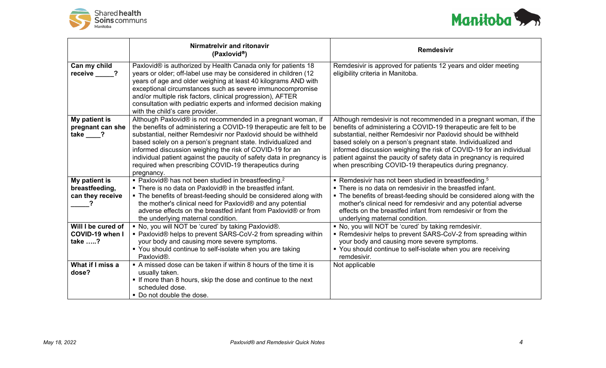



|                                                     | Nirmatrelvir and ritonavir<br>(Paxlovid <sup>®</sup> )                                                                                                                                                                                                                                                                                                                                                                                                                                | <b>Remdesivir</b>                                                                                                                                                                                                                                                                                                                                                                                                                                                                   |
|-----------------------------------------------------|---------------------------------------------------------------------------------------------------------------------------------------------------------------------------------------------------------------------------------------------------------------------------------------------------------------------------------------------------------------------------------------------------------------------------------------------------------------------------------------|-------------------------------------------------------------------------------------------------------------------------------------------------------------------------------------------------------------------------------------------------------------------------------------------------------------------------------------------------------------------------------------------------------------------------------------------------------------------------------------|
| Can my child<br>receive ?                           | Paxlovid® is authorized by Health Canada only for patients 18<br>years or older; off-label use may be considered in children (12<br>years of age and older weighing at least 40 kilograms AND with<br>exceptional circumstances such as severe immunocompromise<br>and/or multiple risk factors, clinical progression), AFTER<br>consultation with pediatric experts and informed decision making<br>with the child's care provider.                                                  | Remdesivir is approved for patients 12 years and older meeting<br>eligibility criteria in Manitoba.                                                                                                                                                                                                                                                                                                                                                                                 |
| My patient is<br>pregnant can she<br>take ?         | Although Paxlovid® is not recommended in a pregnant woman, if<br>the benefits of administering a COVID-19 therapeutic are felt to be<br>substantial, neither Remdesivir nor Paxlovid should be withheld<br>based solely on a person's pregnant state. Individualized and<br>informed discussion weighing the risk of COVID-19 for an<br>individual patient against the paucity of safety data in pregnancy is<br>required when prescribing COVID-19 therapeutics during<br>pregnancy. | Although remdesivir is not recommended in a pregnant woman, if the<br>benefits of administering a COVID-19 therapeutic are felt to be<br>substantial, neither Remdesivir nor Paxlovid should be withheld<br>based solely on a person's pregnant state. Individualized and<br>informed discussion weighing the risk of COVID-19 for an individual<br>patient against the paucity of safety data in pregnancy is required<br>when prescribing COVID-19 therapeutics during pregnancy. |
| My patient is<br>breastfeeding,<br>can they receive | • Paxlovid® has not been studied in breastfeeding. <sup>2</sup><br>• There is no data on Paxlovid® in the breastfed infant.<br>• The benefits of breast-feeding should be considered along with<br>the mother's clinical need for Paxlovid® and any potential<br>adverse effects on the breastfed infant from Paxlovid® or from<br>the underlying maternal condition.                                                                                                                 | • Remdesivir has not been studied in breastfeeding. <sup>5</sup><br>• There is no data on remdesivir in the breastfed infant.<br>• The benefits of breast-feeding should be considered along with the<br>mother's clinical need for remdesivir and any potential adverse<br>effects on the breastfed infant from remdesivir or from the<br>underlying maternal condition.                                                                                                           |
| Will I be cured of<br>COVID-19 when I<br>take ?     | . No, you will NOT be 'cured' by taking Paxlovid®.<br>• Paxlovid® helps to prevent SARS-CoV-2 from spreading within<br>your body and causing more severe symptoms.<br>• You should continue to self-isolate when you are taking<br>Paxlovid®.                                                                                                                                                                                                                                         | . No, you will NOT be 'cured' by taking remdesivir.<br>• Remdesivir helps to prevent SARS-CoV-2 from spreading within<br>your body and causing more severe symptoms.<br>• You should continue to self-isolate when you are receiving<br>remdesivir.                                                                                                                                                                                                                                 |
| What if I miss a<br>dose?                           | • A missed dose can be taken if within 8 hours of the time it is<br>usually taken.<br>• If more than 8 hours, skip the dose and continue to the next<br>scheduled dose.<br>• Do not double the dose.                                                                                                                                                                                                                                                                                  | Not applicable                                                                                                                                                                                                                                                                                                                                                                                                                                                                      |